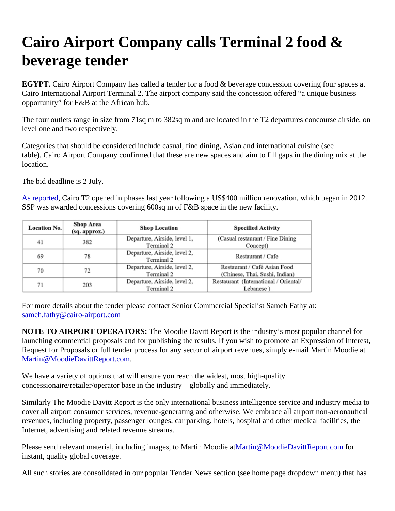## Cairo Airport Company calls Terminal 2 food & beverage tender

EGYPT. Cairo Airport Company has called a tender for a food & beverage concession covering four spaces at Cairo International Airport Terminal 2. The airport company said the concession offered "a unique business opportunity" for F&B at the African hub.

The four outlets range in size from 71sq m to 382sq m and are located in the T2 departures concourse airside level one and two respectively.

Categories that should be considered include casual, fine dining, Asian and international cuisine (see table). Cairo Airport Company confirmed that these are new spaces and aim to fill gaps in the dining mix at the location.

The bid deadline is 2 July.

[As reported](https://www.moodiedavittreport.com/cairo-airport-terminal-2-opens-retailers-put-finishing-touches-to-duty-free-stores/) Cairo T2 opened in phases last year following a US\$400 million renovation, which began in 2012. SSP was awarded concessions covering 600sq m of F&B space in the new facility.

For more details about the tender please contact Senior Commercial Specialist Sameh Fathy at: [sameh.fathy@cairo-airport.co](mailto:sameh.fathy@cairo-airport.com)m

NOTE TO AIRPORT OPERATORS: The Moodie Davitt Report is the industry's most popular channel for launching commercial proposals and for publishing the results. If you wish to promote an Expression of Intere Request for Proposals or full tender process for any sector of airport revenues, simply e-mail Martin Moodie a [Martin@MoodieDavittReport.co](mailto:Martin@MoodieDavittReport.com)m.

We have a variety of options that will ensure you reach the widest, most high-quality concessionaire/retailer/operator base in the industry – globally and immediately.

Similarly The Moodie Davitt Report is the only international business intelligence service and industry media t cover all airport consumer services, revenue-generating and otherwise. We embrace all airport non-aeronauti revenues, including property, passenger lounges, car parking, hotels, hospital and other medical facilities, the Internet, advertising and related revenue streams.

Please send relevant material, including images, to Martin Moddiartat@MoodieDavittReport.corfor instant, quality global coverage.

All such stories are consolidated in our popular Tender News section (see home page dropdown menu) that has